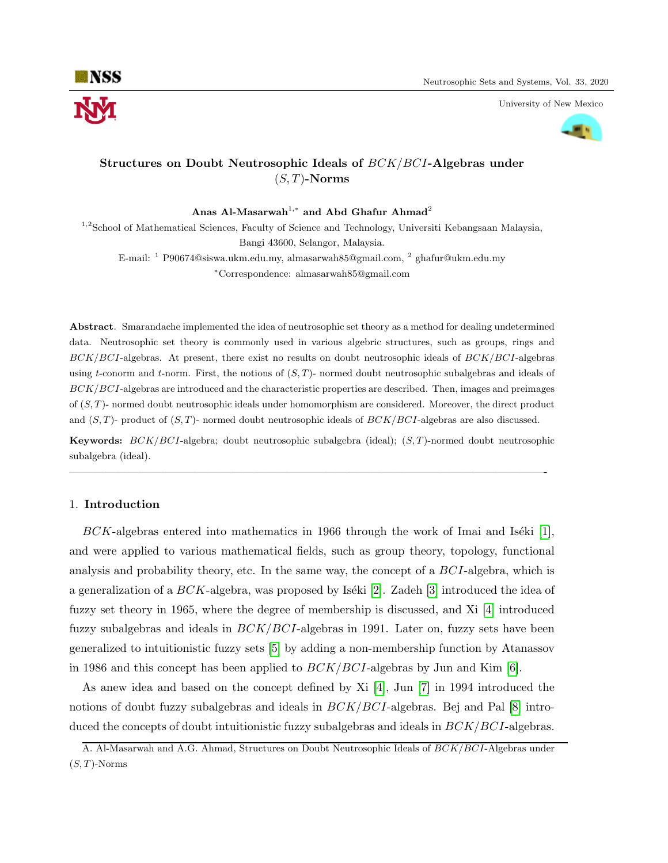

University of New Mexico



# Structures on Doubt Neutrosophic Ideals of BCK/BCI-Algebras under  $(S, T)$ -Norms

Anas Al-Masarwah<sup>1,\*</sup> and Abd Ghafur Ahmad<sup>2</sup>

<sup>1,2</sup>School of Mathematical Sciences, Faculty of Science and Technology, Universiti Kebangsaan Malaysia, Bangi 43600, Selangor, Malaysia.

E-mail:  $^1$  P90674@siswa.ukm.edu.my, almasarwah85@gmail.com,  $^2$  ghafur@ukm.edu.my <sup>∗</sup>Correspondence: almasarwah85@gmail.com

Abstract. Smarandache implemented the idea of neutrosophic set theory as a method for dealing undetermined data. Neutrosophic set theory is commonly used in various algebric structures, such as groups, rings and BCK/BCI-algebras. At present, there exist no results on doubt neutrosophic ideals of BCK/BCI-algebras using t-conorm and t-norm. First, the notions of  $(S, T)$ - normed doubt neutrosophic subalgebras and ideals of BCK/BCI-algebras are introduced and the characteristic properties are described. Then, images and preimages of  $(S, T)$ - normed doubt neutrosophic ideals under homomorphism are considered. Moreover, the direct product and  $(S, T)$ - product of  $(S, T)$ - normed doubt neutrosophic ideals of  $BCK/BCI$ -algebras are also discussed.

**Keywords:**  $BCK/BCI$ -algebra; doubt neutrosophic subalgebra (ideal);  $(S, T)$ -normed doubt neutrosophic subalgebra (ideal).

—————————————————————————————————————————-

# 1. Introduction

 $BCK$ -algebras entered into mathematics in 1966 through the work of Imai and Iséki [\[1\]](#page-13-0), and were applied to various mathematical fields, such as group theory, topology, functional analysis and probability theory, etc. In the same way, the concept of a BCI-algebra, which is a generalization of a  $BCK$ -algebra, was proposed by Iséki [\[2\]](#page-13-1). Zadeh [\[3\]](#page-13-2) introduced the idea of fuzzy set theory in 1965, where the degree of membership is discussed, and Xi [\[4\]](#page-13-3) introduced fuzzy subalgebras and ideals in  $BCK/BCI$ -algebras in 1991. Later on, fuzzy sets have been generalized to intuitionistic fuzzy sets [\[5\]](#page-13-4) by adding a non-membership function by Atanassov in 1986 and this concept has been applied to  $BCK/BCI$ -algebras by Jun and Kim [\[6\]](#page-13-5).

As anew idea and based on the concept defined by Xi [\[4\]](#page-13-3), Jun [\[7\]](#page-13-6) in 1994 introduced the notions of doubt fuzzy subalgebras and ideals in  $BCK/BCI$ -algebras. Bej and Pal  $[8]$  introduced the concepts of doubt intuitionistic fuzzy subalgebras and ideals in BCK/BCI-algebras.

A. Al-Masarwah and A.G. Ahmad, Structures on Doubt Neutrosophic Ideals of BCK/BCI-Algebras under  $(S, T)$ -Norms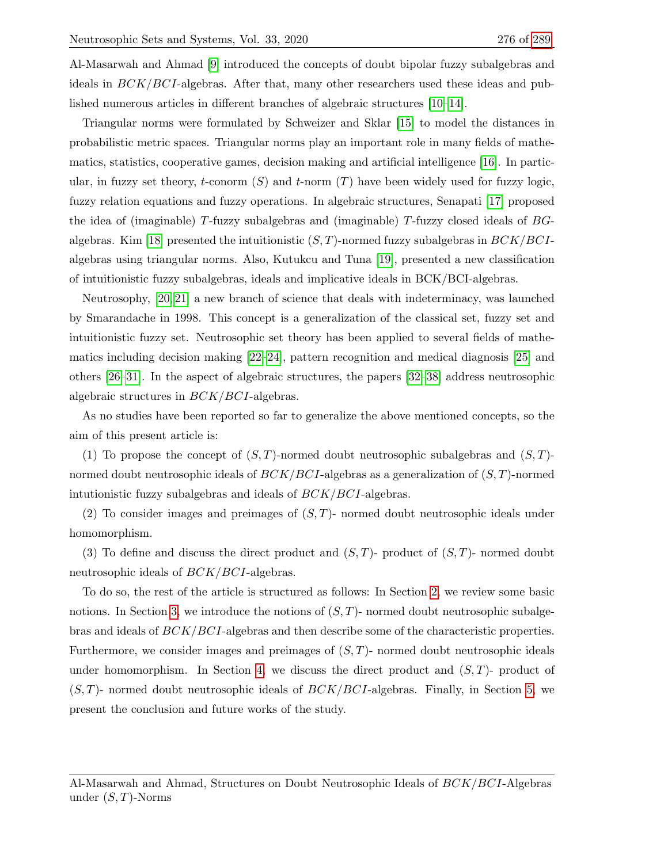Al-Masarwah and Ahmad [\[9\]](#page-13-8) introduced the concepts of doubt bipolar fuzzy subalgebras and ideals in  $BCK/BCI$ -algebras. After that, many other researchers used these ideas and published numerous articles in different branches of algebraic structures [\[10–](#page-13-9)[14\]](#page-13-10).

Triangular norms were formulated by Schweizer and Sklar [\[15\]](#page-13-11) to model the distances in probabilistic metric spaces. Triangular norms play an important role in many fields of mathematics, statistics, cooperative games, decision making and artificial intelligence [\[16\]](#page-13-12). In particular, in fuzzy set theory, t-conorm  $(S)$  and t-norm  $(T)$  have been widely used for fuzzy logic, fuzzy relation equations and fuzzy operations. In algebraic structures, Senapati [\[17\]](#page-13-13) proposed the idea of (imaginable) T-fuzzy subalgebras and (imaginable) T-fuzzy closed ideals of BG-algebras. Kim [\[18\]](#page-13-14) presented the intuitionistic  $(S, T)$ -normed fuzzy subalgebras in  $BCK/BCI$ algebras using triangular norms. Also, Kutukcu and Tuna [\[19\]](#page-13-15), presented a new classification of intuitionistic fuzzy subalgebras, ideals and implicative ideals in BCK/BCI-algebras.

Neutrosophy, [\[20,](#page-13-16) [21\]](#page-13-17) a new branch of science that deals with indeterminacy, was launched by Smarandache in 1998. This concept is a generalization of the classical set, fuzzy set and intuitionistic fuzzy set. Neutrosophic set theory has been applied to several fields of mathematics including decision making [\[22–](#page-13-18)[24\]](#page-14-1), pattern recognition and medical diagnosis [\[25\]](#page-14-2) and others [\[26](#page-14-3)[–31\]](#page-14-4). In the aspect of algebraic structures, the papers [\[32–](#page-14-5)[38\]](#page-14-6) address neutrosophic algebraic structures in BCK/BCI-algebras.

As no studies have been reported so far to generalize the above mentioned concepts, so the aim of this present article is:

(1) To propose the concept of  $(S, T)$ -normed doubt neutrosophic subalgebras and  $(S, T)$ normed doubt neutrosophic ideals of  $BCK/BCI$ -algebras as a generalization of  $(S, T)$ -normed intutionistic fuzzy subalgebras and ideals of BCK/BCI-algebras.

(2) To consider images and preimages of  $(S, T)$ - normed doubt neutrosophic ideals under homomorphism.

(3) To define and discuss the direct product and  $(S, T)$ - product of  $(S, T)$ - normed doubt neutrosophic ideals of BCK/BCI-algebras.

To do so, the rest of the article is structured as follows: In Section [2,](#page-2-0) we review some basic notions. In Section [3,](#page-3-0) we introduce the notions of  $(S, T)$ - normed doubt neutrosophic subalgebras and ideals of BCK/BCI-algebras and then describe some of the characteristic properties. Furthermore, we consider images and preimages of  $(S, T)$ - normed doubt neutrosophic ideals under homomorphism. In Section [4,](#page-9-0) we discuss the direct product and  $(S, T)$ - product of  $(S, T)$ - normed doubt neutrosophic ideals of  $BCK/BCI$ -algebras. Finally, in Section [5,](#page-12-0) we present the conclusion and future works of the study.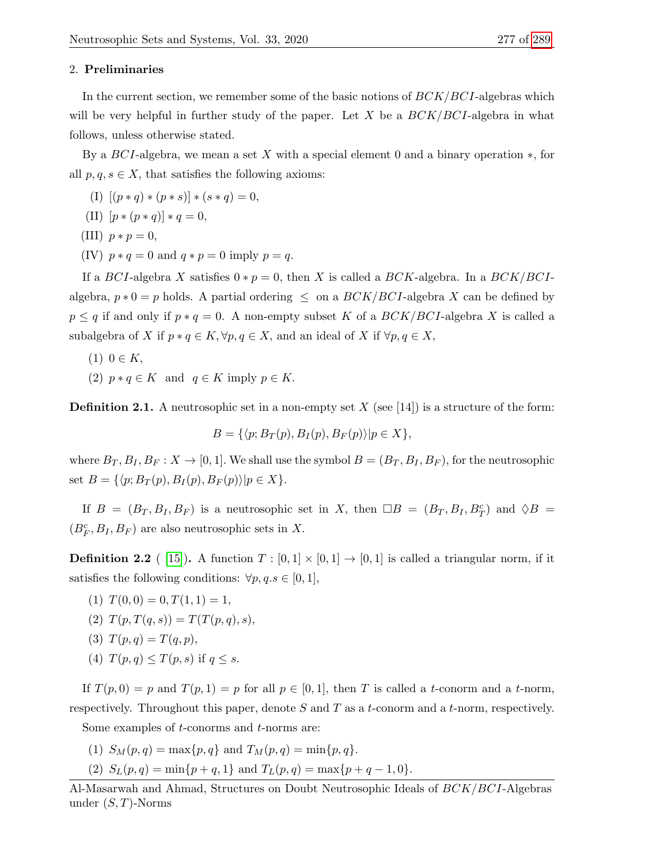#### <span id="page-2-0"></span>2. Preliminaries

In the current section, we remember some of the basic notions of  $BCK/BCI$ -algebras which will be very helpful in further study of the paper. Let X be a  $BCK/BCI$ -algebra in what follows, unless otherwise stated.

By a  $BCI$ -algebra, we mean a set X with a special element 0 and a binary operation  $\ast$ , for all  $p, q, s \in X$ , that satisfies the following axioms:

- (I)  $[(p * q) * (p * s)] * (s * q) = 0,$
- (II)  $[p * (p * q)] * q = 0,$
- (III)  $p * p = 0$ ,
- (IV)  $p * q = 0$  and  $q * p = 0$  imply  $p = q$ .

If a BCI-algebra X satisfies  $0 * p = 0$ , then X is called a BCK-algebra. In a BCK/BCIalgebra,  $p * 0 = p$  holds. A partial ordering  $\leq$  on a  $BCK/BCI$ -algebra X can be defined by  $p \leq q$  if and only if  $p * q = 0$ . A non-empty subset K of a  $BCK/BCI$ -algebra X is called a subalgebra of X if  $p * q \in K$ ,  $\forall p, q \in X$ , and an ideal of X if  $\forall p, q \in X$ ,

- $(1)$   $0 \in K$ ,
- (2)  $p * q \in K$  and  $q \in K$  imply  $p \in K$ .

**Definition 2.1.** A neutrosophic set in a non-empty set X (see [14]) is a structure of the form:

$$
B = \{ \langle p; B_T(p), B_I(p), B_F(p) \rangle | p \in X \},\
$$

where  $B_T, B_I, B_F: X \to [0, 1]$ . We shall use the symbol  $B = (B_T, B_I, B_F)$ , for the neutrosophic set  $B = \{ \langle p; B_T (p), B_I (p), B_F (p) \rangle | p \in X \}.$ 

If  $B = (B_T, B_I, B_F)$  is a neutrosophic set in X, then  $\Box B = (B_T, B_I, B_T^c)$  and  $\Diamond B =$  $(B_F^c, B_I, B_F)$  are also neutrosophic sets in X.

**Definition 2.2** ( [\[15\]](#page-13-11)). A function  $T : [0,1] \times [0,1] \rightarrow [0,1]$  is called a triangular norm, if it satisfies the following conditions:  $\forall p, q, s \in [0, 1],$ 

- (1)  $T(0,0) = 0, T(1,1) = 1,$
- (2)  $T(p, T(q, s)) = T(T(p, q), s),$
- (3)  $T(p,q) = T(q,p),$
- (4)  $T(p,q) \leq T(p,s)$  if  $q \leq s$ .

If  $T(p, 0) = p$  and  $T(p, 1) = p$  for all  $p \in [0, 1]$ , then T is called a t-conorm and a t-norm, respectively. Throughout this paper, denote  $S$  and  $T$  as a t-conorm and a t-norm, respectively.

Some examples of t-conorms and t-norms are:

- (1)  $S_M(p,q) = \max\{p,q\}$  and  $T_M(p,q) = \min\{p,q\}.$
- (2)  $S_L(p,q) = \min\{p+q,1\}$  and  $T_L(p,q) = \max\{p+q,1\}.$

Al-Masarwah and Ahmad, Structures on Doubt Neutrosophic Ideals of BCK/BCI-Algebras under  $(S, T)$ -Norms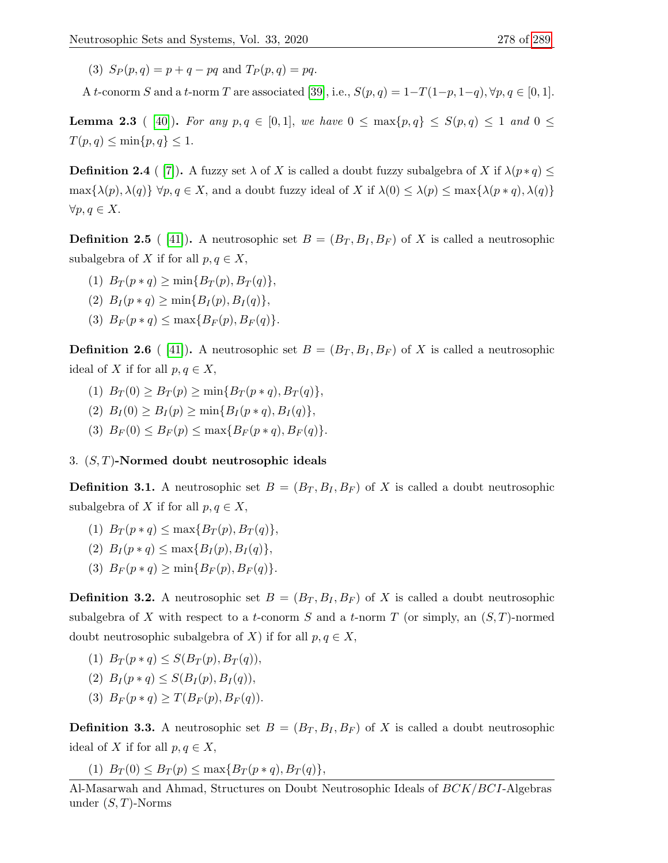A t-conorm S and a t-norm T are associated [\[39\]](#page-14-7), i.e.,  $S(p,q) = 1-T(1-p, 1-q)$ ,  $\forall p, q \in [0,1]$ .

**Lemma 2.3** ( [\[40\]](#page-14-8)). For any  $p, q \in [0, 1]$ , we have  $0 \le \max\{p, q\} \le S(p, q) \le 1$  and  $0 \le$  $T(p,q) \leq \min\{p,q\} \leq 1.$ 

**Definition 2.4** ( [\[7\]](#page-13-6)). A fuzzy set  $\lambda$  of X is called a doubt fuzzy subalgebra of X if  $\lambda(p*q) \leq$  $\max\{\lambda(p),\lambda(q)\}\ \forall p,q\in X$ , and a doubt fuzzy ideal of X if  $\lambda(0)\leq \lambda(p)\leq \max\{\lambda(p*q),\lambda(q)\}\$  $\forall p, q \in X.$ 

**Definition 2.5** ([\[41\]](#page-14-9)). A neutrosophic set  $B = (B_T, B_I, B_F)$  of X is called a neutrosophic subalgebra of X if for all  $p, q \in X$ ,

- (1)  $B_T(p * q) \ge \min\{B_T(p), B_T(q)\},$
- (2)  $B_I(p * q) \ge \min\{B_I(p), B_I(q)\},\$
- (3)  $B_F(p * q) \le \max\{B_F(p), B_F(q)\}.$

**Definition 2.6** ([\[41\]](#page-14-9)). A neutrosophic set  $B = (B_T, B_I, B_F)$  of X is called a neutrosophic ideal of X if for all  $p, q \in X$ ,

- (1)  $B_T(0) > B_T(p) > \min\{B_T(p*q), B_T(q)\},$
- (2)  $B_I(0) > B_I(p) > \min\{B_I(p*q), B_I(q)\},$
- (3)  $B_F(0) \leq B_F(p) \leq \max\{B_F(p*q), B_F(q)\}.$

# <span id="page-3-0"></span>3.  $(S, T)$ -Normed doubt neutrosophic ideals

**Definition 3.1.** A neutrosophic set  $B = (B_T, B_I, B_F)$  of X is called a doubt neutrosophic subalgebra of X if for all  $p, q \in X$ ,

- (1)  $B_T(p * q) \leq \max\{B_T(p), B_T(q)\},$
- (2)  $B_I(p * q) \leq \max\{B_I(p), B_I(q)\},\$
- (3)  $B_F(p * q) \ge \min\{B_F(p), B_F(q)\}.$

**Definition 3.2.** A neutrosophic set  $B = (B_T, B_I, B_F)$  of X is called a doubt neutrosophic subalgebra of X with respect to a t-conorm S and a t-norm T (or simply, an  $(S, T)$ -normed doubt neutrosophic subalgebra of X) if for all  $p, q \in X$ ,

- (1)  $B_T(p * q) \leq S(B_T(p), B_T(q)),$
- (2)  $B_I(p * q) \leq S(B_I(p), B_I(q)),$
- (3)  $B_F(p * q) \geq T(B_F(p), B_F(q)).$

**Definition 3.3.** A neutrosophic set  $B = (B_T, B_I, B_F)$  of X is called a doubt neutrosophic ideal of X if for all  $p, q \in X$ ,

(1)  $B_T(0) \leq B_T(p) \leq \max\{B_T(p*q), B_T(q)\},$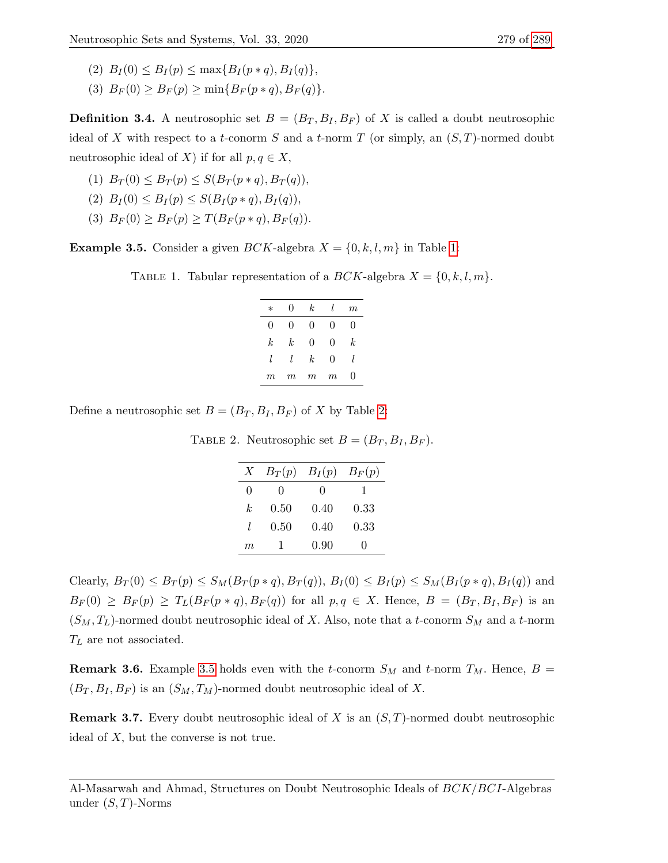- (2)  $B_I(0) \leq B_I(p) \leq \max\{B_I(p*q), B_I(q)\},$
- (3)  $B_F(0) \geq B_F(p) \geq \min\{B_F(p*q), B_F(q)\}.$

**Definition 3.4.** A neutrosophic set  $B = (B_T, B_I, B_F)$  of X is called a doubt neutrosophic ideal of X with respect to a t-conorm S and a t-norm T (or simply, an  $(S, T)$ -normed doubt neutrosophic ideal of X) if for all  $p, q \in X$ ,

- (1)  $B_T(0) \leq B_T(p) \leq S(B_T(p*q), B_T(q)),$
- (2)  $B_I(0) \leq B_I(p) \leq S(B_I(p*q), B_I(q)),$
- (3)  $B_F(0) \geq B_F(p) \geq T(B_F(p*q), B_F(q)).$

<span id="page-4-2"></span><span id="page-4-0"></span>**Example 3.5.** Consider a given *BCK*-algebra  $X = \{0, k, l, m\}$  in Table [1:](#page-4-0)

TABLE 1. Tabular representation of a  $BCK$ -algebra  $X = \{0, k, l, m\}.$ 

| $\ast$           | 0     | k | l | $\,m$ |
|------------------|-------|---|---|-------|
| 0                | 0     | 0 | 0 | 0     |
| $\boldsymbol{k}$ | k.    | 0 | 0 | k.    |
| l                | l     | k | 0 | l     |
| $m\,$            | $m\,$ | m | m | 0     |

<span id="page-4-1"></span>Define a neutrosophic set  $B = (B_T, B_I, B_F)$  of X by Table [2:](#page-4-1)

TABLE 2. Neutrosophic set  $B = (B_T, B_I, B_F)$ .

| X  | $B_T(p)$     | $B_I(p)$ | $B_F(p)$   |
|----|--------------|----------|------------|
| 0  | $\mathbf{0}$ | 0        | ı          |
| k. | 0.50         | 0.40     | 0.33       |
| I. | $0.50\,$     | 0.40     | $\;\:0.33$ |
| m, |              | 0.90     |            |

Clearly,  $B_T(0) \leq B_T(p) \leq S_M(B_T(p*q), B_T(q)), B_I(0) \leq B_I(p) \leq S_M(B_I(p*q), B_I(q))$  and  $B_F(0) \geq B_F(p) \geq T_L(B_F(p*q), B_F(q))$  for all  $p, q \in X$ . Hence,  $B = (B_T, B_I, B_F)$  is an  $(S_M, T_L)$ -normed doubt neutrosophic ideal of X. Also, note that a t-conorm  $S_M$  and a t-norm  $T_L$  are not associated.

**Remark 3.6.** Example [3.5](#page-4-2) holds even with the *t*-conorm  $S_M$  and *t*-norm  $T_M$ . Hence,  $B =$  $(B_T, B_I, B_F)$  is an  $(S_M, T_M)$ -normed doubt neutrosophic ideal of X.

**Remark 3.7.** Every doubt neutrosophic ideal of X is an  $(S, T)$ -normed doubt neutrosophic ideal of X, but the converse is not true.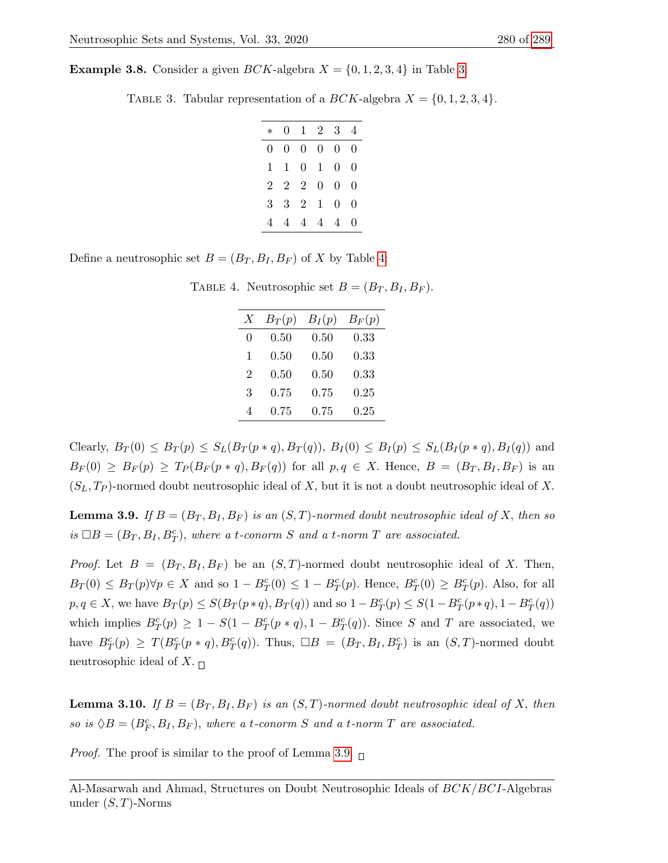<span id="page-5-0"></span>**Example 3.8.** Consider a given  $BCK$ -algebra  $X = \{0, 1, 2, 3, 4\}$  in Table [3:](#page-5-0)

TABLE 3. Tabular representation of a  $BCK$ -algebra  $X = \{0, 1, 2, 3, 4\}.$ 

| $\ast$         |                |                | $0 \quad 1 \quad 2$ | 3 <sup>1</sup> | 4 |
|----------------|----------------|----------------|---------------------|----------------|---|
| 0              | $\overline{0}$ | $\overline{0}$ | $\overline{0}$      | 0              | 0 |
| 1              | $\mathbf{1}$   | $\theta$       | 1                   | 0              | 0 |
| $\overline{2}$ |                | $2\quad 2$     | $\overline{0}$      | 0              | 0 |
| 3              | 3 <sup>1</sup> | 2 1            |                     | 0              | 0 |
| 4              | 4              | $\overline{4}$ | $\overline{4}$      | $\sqrt{4}$     | 0 |

<span id="page-5-1"></span>Define a neutrosophic set  $B = (B_T, B_I, B_F)$  of X by Table [4:](#page-5-1)

TABLE 4. Neutrosophic set  $B = (B_T, B_I, B_F)$ .

| X | $B_T(p)$ | $B_I(p)$ | $B_F(p)$ |
|---|----------|----------|----------|
| 0 | 0.50     | 0.50     | 0.33     |
| 1 | 0.50     | 0.50     | 0.33     |
| 2 | 0.50     | 0.50     | 0.33     |
| 3 | 0.75     | 0.75     | 0.25     |
|   | 0.75     | 0.75     | 0.25     |

Clearly,  $B_T(0) \leq B_T(p) \leq S_L(B_T(p*q), B_T(q)), B_I(0) \leq B_I(p) \leq S_L(B_I(p*q), B_I(q))$  and  $B_F(0) \geq B_F(p) \geq T_P(B_F(p \ast q), B_F(q))$  for all  $p, q \in X$ . Hence,  $B = (B_T, B_I, B_F)$  is an  $(S_L, T_P)$ -normed doubt neutrosophic ideal of X, but it is not a doubt neutrosophic ideal of X.

<span id="page-5-2"></span>**Lemma 3.9.** If  $B = (B_T, B_I, B_F)$  is an  $(S, T)$ -normed doubt neutrosophic ideal of X, then so is  $\Box B = (B_T, B_I, B_T^c)$ , where a t-conorm S and a t-norm T are associated.

*Proof.* Let  $B = (B_T, B_I, B_F)$  be an  $(S, T)$ -normed doubt neutrosophic ideal of X. Then,  $B_T(0) \leq B_T(p)\forall p \in X$  and so  $1 - B_T^c(0) \leq 1 - B_T^c(p)$ . Hence,  $B_T^c(0) \geq B_T^c(p)$ . Also, for all  $p, q \in X$ , we have  $B_T(p) \leq S(B_T(p * q), B_T(q))$  and so  $1 - B_T^c(p) \leq S(1 - B_T^c(p * q), 1 - B_T^c(q))$ which implies  $B_T^c(p) \geq 1 - S(1 - B_T^c(p * q), 1 - B_T^c(q))$ . Since S and T are associated, we have  $B_T^c(p) \geq T(B_T^c(p * q), B_T^c(q))$ . Thus,  $\Box B = (B_T, B_I, B_T^c)$  is an  $(S, T)$ -normed doubt neutrosophic ideal of X.  $\Box$ 

<span id="page-5-3"></span>**Lemma 3.10.** If  $B = (B_T, B_I, B_F)$  is an  $(S, T)$ -normed doubt neutrosophic ideal of X, then so is  $\Diamond B = (B_F^c, B_I, B_F)$ , where a t-conorm S and a t-norm T are associated.

*Proof.* The proof is similar to the proof of Lemma [3.9.](#page-5-2)  $\Box$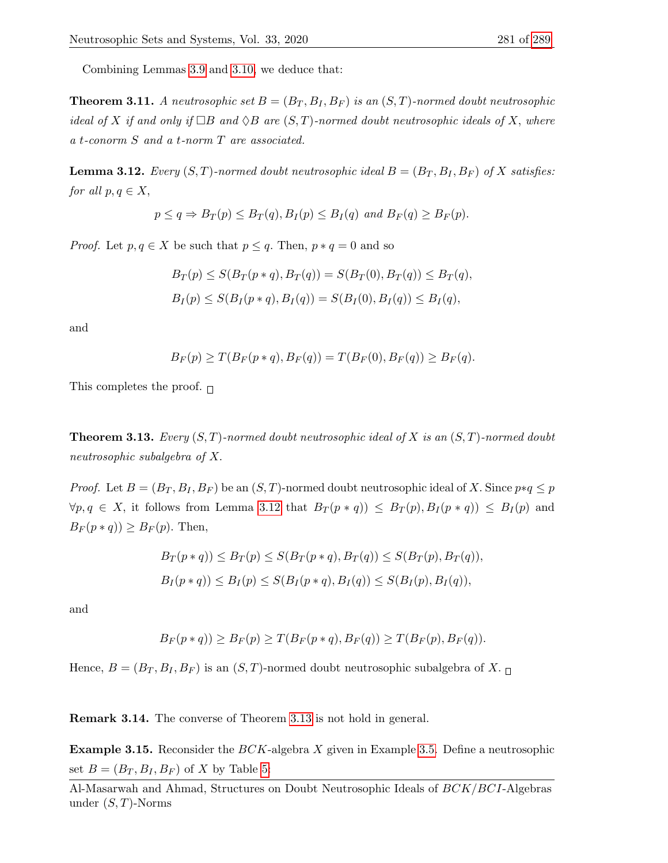Combining Lemmas [3.9](#page-5-2) and [3.10,](#page-5-3) we deduce that:

**Theorem 3.11.** A neutrosophic set  $B = (B_T, B_I, B_F)$  is an  $(S, T)$ -normed doubt neutrosophic ideal of X if and only if  $\Box B$  and  $\Diamond B$  are  $(S,T)$ -normed doubt neutrosophic ideals of X, where a t-conorm S and a t-norm T are associated.

<span id="page-6-0"></span>**Lemma 3.12.** Every  $(S, T)$ -normed doubt neutrosophic ideal  $B = (B_T, B_I, B_F)$  of X satisfies: for all  $p, q \in X$ ,

$$
p \le q \Rightarrow B_T(p) \le B_T(q), B_I(p) \le B_I(q) \text{ and } B_F(q) \ge B_F(p).
$$

*Proof.* Let  $p, q \in X$  be such that  $p \leq q$ . Then,  $p * q = 0$  and so

$$
B_T(p) \le S(B_T(p * q), B_T(q)) = S(B_T(0), B_T(q)) \le B_T(q),
$$
  

$$
B_I(p) \le S(B_I(p * q), B_I(q)) = S(B_I(0), B_I(q)) \le B_I(q),
$$

and

$$
B_F(p) \geq T(B_F(p * q), B_F(q)) = T(B_F(0), B_F(q)) \geq B_F(q).
$$

This completes the proof.  $\Box$ 

<span id="page-6-1"></span>**Theorem 3.13.** Every  $(S, T)$ -normed doubt neutrosophic ideal of X is an  $(S, T)$ -normed doubt neutrosophic subalgebra of X.

*Proof.* Let  $B = (B_T, B_I, B_F)$  be an  $(S, T)$ -normed doubt neutrosophic ideal of X. Since  $p * q \leq p$  $\forall p, q \in X$ , it follows from Lemma [3.12](#page-6-0) that  $B_T(p * q) \leq B_T(p), B_I(p * q) \leq B_I(p)$  and  $B_F(p*q) \geq B_F(p)$ . Then,

$$
B_T(p * q)) \leq B_T(p) \leq S(B_T(p * q), B_T(q)) \leq S(B_T(p), B_T(q)),
$$
  

$$
B_I(p * q)) \leq B_I(p) \leq S(B_I(p * q), B_I(q)) \leq S(B_I(p), B_I(q)),
$$

and

$$
B_F(p * q)) \geq B_F(p) \geq T(B_F(p * q), B_F(q)) \geq T(B_F(p), B_F(q)).
$$

Hence,  $B = (B_T, B_I, B_F)$  is an  $(S, T)$ -normed doubt neutrosophic subalgebra of X.

Remark 3.14. The converse of Theorem [3.13](#page-6-1) is not hold in general.

**Example 3.15.** Reconsider the  $BCK$ -algebra X given in Example [3.5.](#page-4-2) Define a neutrosophic set  $B = (B_T, B_I, B_F)$  of X by Table [5:](#page-7-0)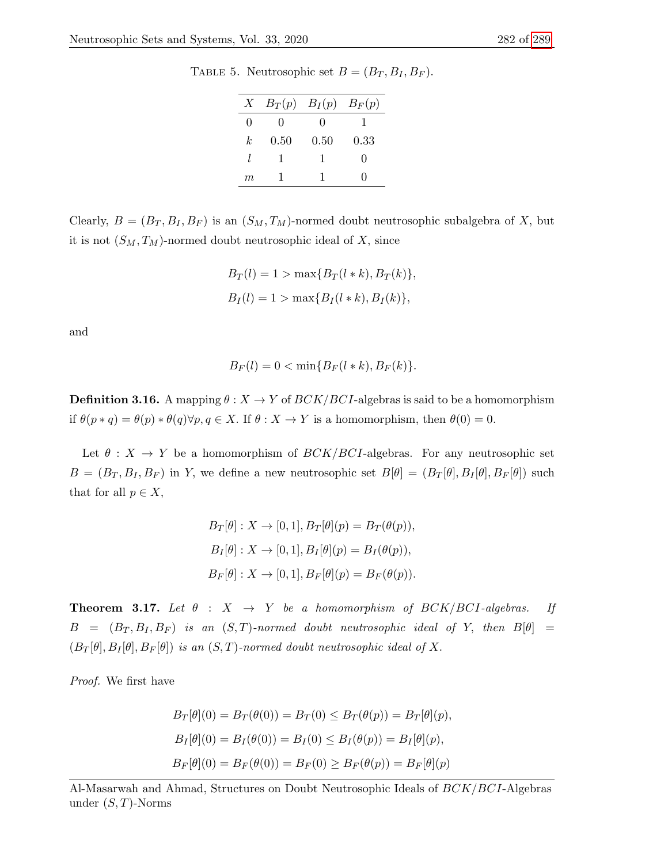<span id="page-7-0"></span>TABLE 5. Neutrosophic set  $B = (B_T, B_I, B_F)$ .

| X            | $B_T(p)$     | $B_I(p)$ | $B_F(p)$     |
|--------------|--------------|----------|--------------|
| $\mathbf{0}$ | $\mathbf{0}$ | 0        |              |
| k.           | 0.50         | 0.50     | 0.33         |
| I            |              | 1        | $\mathbf{0}$ |
| m            | ш            | ı        | 0            |

Clearly,  $B = (B_T, B_I, B_F)$  is an  $(S_M, T_M)$ -normed doubt neutrosophic subalgebra of X, but it is not  $(S_M, T_M)$ -normed doubt neutrosophic ideal of X, since

$$
B_T(l) = 1 > \max\{B_T(l*k), B_T(k)\},\
$$
  

$$
B_I(l) = 1 > \max\{B_I(l*k), B_I(k)\},\
$$

and

$$
B_F(l) = 0 < \min\{B_F(l*k), B_F(k)\}
$$

**Definition 3.16.** A mapping  $\theta : X \to Y$  of  $BCK/BCI$ -algebras is said to be a homomorphism if  $\theta(p * q) = \theta(p) * \theta(q) \forall p, q \in X$ . If  $\theta: X \to Y$  is a homomorphism, then  $\theta(0) = 0$ .

Let  $\theta : X \to Y$  be a homomorphism of  $BCK/BCI$ -algebras. For any neutrosophic set  $B = (B_T, B_I, B_F)$  in Y, we define a new neutrosophic set  $B[\theta] = (B_T[\theta], B_I[\theta], B_F[\theta])$  such that for all  $p \in X$ ,

$$
B_T[\theta] : X \to [0, 1], B_T[\theta](p) = B_T(\theta(p)),
$$
  
\n
$$
B_I[\theta] : X \to [0, 1], B_I[\theta](p) = B_I(\theta(p)),
$$
  
\n
$$
B_F[\theta] : X \to [0, 1], B_F[\theta](p) = B_F(\theta(p)).
$$

**Theorem 3.17.** Let  $\theta$  :  $X \rightarrow Y$  be a homomorphism of BCK/BCI-algebras. If  $B = (B_T, B_I, B_F)$  is an  $(S, T)$ -normed doubt neutrosophic ideal of Y, then  $B[\theta] =$  $(B_T[\theta], B_I[\theta], B_F[\theta])$  is an  $(S, T)$ -normed doubt neutrosophic ideal of X.

Proof. We first have

$$
B_T[\theta](0) = B_T(\theta(0)) = B_T(0) \le B_T(\theta(p)) = B_T[\theta](p),
$$
  
\n
$$
B_I[\theta](0) = B_I(\theta(0)) = B_I(0) \le B_I(\theta(p)) = B_I[\theta](p),
$$
  
\n
$$
B_F[\theta](0) = B_F(\theta(0)) = B_F(0) \ge B_F(\theta(p)) = B_F[\theta](p)
$$

Al-Masarwah and Ahmad, Structures on Doubt Neutrosophic Ideals of BCK/BCI-Algebras under  $(S, T)$ -Norms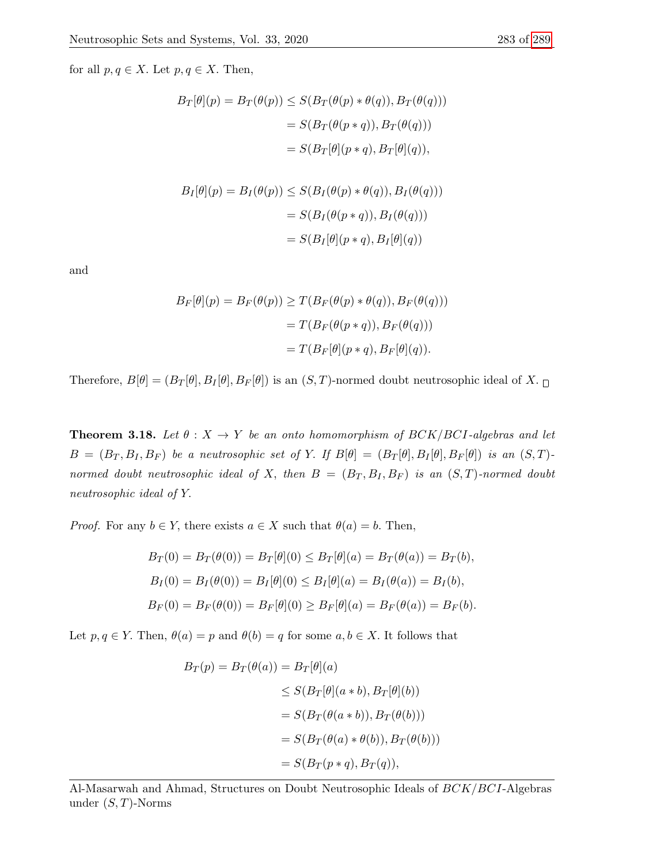for all  $p, q \in X$ . Let  $p, q \in X$ . Then,

$$
B_T[\theta](p) = B_T(\theta(p)) \le S(B_T(\theta(p) * \theta(q)), B_T(\theta(q)))
$$
  
=  $S(B_T(\theta(p * q)), B_T(\theta(q)))$   
=  $S(B_T[\theta](p * q), B_T[\theta](q)),$ 

$$
B_I[\theta](p) = B_I(\theta(p)) \le S(B_I(\theta(p) * \theta(q)), B_I(\theta(q)))
$$
  
=  $S(B_I(\theta(p * q)), B_I(\theta(q)))$   
=  $S(B_I[\theta](p * q), B_I[\theta](q))$ 

and

$$
B_F[\theta](p) = B_F(\theta(p)) \ge T(B_F(\theta(p) * \theta(q)), B_F(\theta(q)))
$$
  
=  $T(B_F(\theta(p * q)), B_F(\theta(q)))$   
=  $T(B_F[\theta](p * q), B_F[\theta](q)).$ 

Therefore,  $B[\theta] = (B_T[\theta], B_I[\theta], B_F[\theta])$  is an  $(S, T)$ -normed doubt neutrosophic ideal of X.  $\Box$ 

**Theorem 3.18.** Let  $\theta : X \to Y$  be an onto homomorphism of BCK/BCI-algebras and let  $B = (B_T, B_I, B_F)$  be a neutrosophic set of Y. If  $B[\theta] = (B_T[\theta], B_I[\theta], B_F[\theta])$  is an  $(S, T)$ normed doubt neutrosophic ideal of X, then  $B = (B_T, B_I, B_F)$  is an  $(S, T)$ -normed doubt neutrosophic ideal of Y.

*Proof.* For any  $b \in Y$ , there exists  $a \in X$  such that  $\theta(a) = b$ . Then,

$$
B_T(0) = B_T(\theta(0)) = B_T[\theta](0) \le B_T[\theta](a) = B_T(\theta(a)) = B_T(b),
$$
  
\n
$$
B_T(0) = B_T(\theta(0)) = B_T[\theta](0) \le B_T[\theta](a) = B_T(\theta(a)) = B_T(b),
$$
  
\n
$$
B_F(0) = B_F(\theta(0)) = B_F[\theta](0) \ge B_F[\theta](a) = B_F(\theta(a)) = B_F(b).
$$

Let  $p, q \in Y$ . Then,  $\theta(a) = p$  and  $\theta(b) = q$  for some  $a, b \in X$ . It follows that

$$
B_T(p) = B_T(\theta(a)) = B_T[\theta](a)
$$
  
\n
$$
\leq S(B_T[\theta](a * b), B_T[\theta](b))
$$
  
\n
$$
= S(B_T(\theta(a * b)), B_T(\theta(b)))
$$
  
\n
$$
= S(B_T(\theta(a) * \theta(b)), B_T(\theta(b)))
$$
  
\n
$$
= S(B_T(p * q), B_T(q)),
$$

Al-Masarwah and Ahmad, Structures on Doubt Neutrosophic Ideals of BCK/BCI-Algebras under  $(S, T)$ -Norms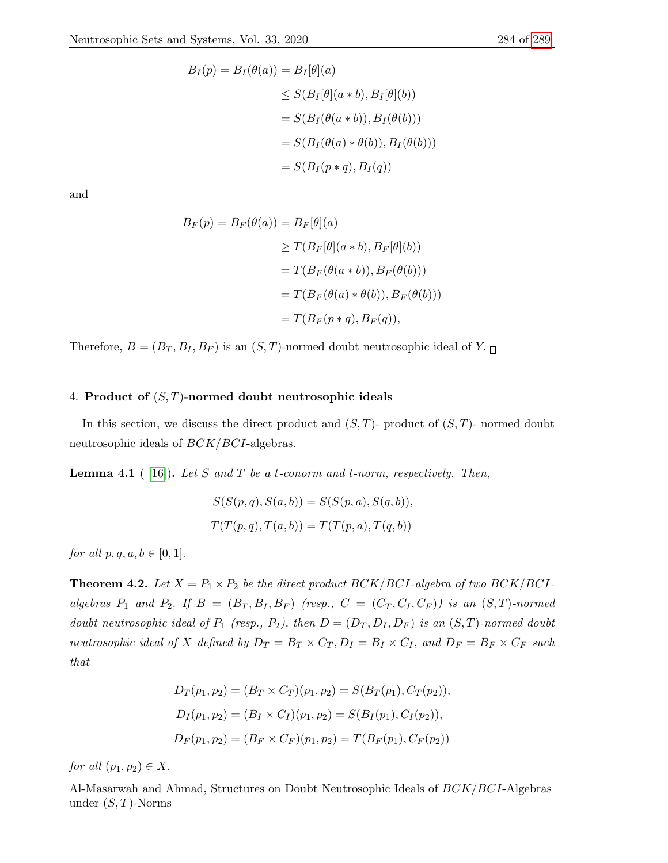$$
B_I(p) = B_I(\theta(a)) = B_I[\theta](a)
$$
  
\n
$$
\leq S(B_I[\theta](a * b), B_I[\theta](b))
$$
  
\n
$$
= S(B_I(\theta(a * b)), B_I(\theta(b)))
$$
  
\n
$$
= S(B_I(\theta(a) * \theta(b)), B_I(\theta(b)))
$$
  
\n
$$
= S(B_I(p * q), B_I(q))
$$

and

$$
B_F(p) = B_F(\theta(a)) = B_F[\theta](a)
$$
  
\n
$$
\geq T(B_F[\theta](a * b), B_F[\theta](b))
$$
  
\n
$$
= T(B_F(\theta(a * b)), B_F(\theta(b)))
$$
  
\n
$$
= T(B_F(\theta(a) * \theta(b)), B_F(\theta(b)))
$$
  
\n
$$
= T(B_F(p * q), B_F(q)),
$$

Therefore,  $B = (B_T, B_I, B_F)$  is an  $(S, T)$ -normed doubt neutrosophic ideal of Y.

## <span id="page-9-0"></span>4. Product of  $(S, T)$ -normed doubt neutrosophic ideals

In this section, we discuss the direct product and  $(S, T)$ - product of  $(S, T)$ - normed doubt neutrosophic ideals of BCK/BCI-algebras.

**Lemma 4.1** ( [\[16\]](#page-13-12)). Let S and T be a t-conorm and t-norm, respectively. Then,

$$
S(S(p, q), S(a, b)) = S(S(p, a), S(q, b)),
$$
  

$$
T(T(p, q), T(a, b)) = T(T(p, a), T(q, b))
$$

for all  $p, q, a, b \in [0, 1]$ .

**Theorem 4.2.** Let  $X = P_1 \times P_2$  be the direct product  $BCK/BCI$ -algebra of two  $BCK/BCI$ algebras  $P_1$  and  $P_2$ . If  $B = (B_T, B_I, B_F)$  (resp.,  $C = (C_T, C_I, C_F)$ ) is an  $(S, T)$ -normed doubt neutrosophic ideal of  $P_1$  (resp.,  $P_2$ ), then  $D = (D_T, D_I, D_F)$  is an  $(S, T)$ -normed doubt neutrosophic ideal of X defined by  $D_T = B_T \times C_T$ ,  $D_I = B_I \times C_I$ , and  $D_F = B_F \times C_F$  such that

$$
D_T(p_1, p_2) = (B_T \times C_T)(p_1, p_2) = S(B_T(p_1), C_T(p_2)),
$$
  
\n
$$
D_I(p_1, p_2) = (B_I \times C_I)(p_1, p_2) = S(B_I(p_1), C_I(p_2)),
$$
  
\n
$$
D_F(p_1, p_2) = (B_F \times C_F)(p_1, p_2) = T(B_F(p_1), C_F(p_2))
$$

for all  $(p_1, p_2) \in X$ .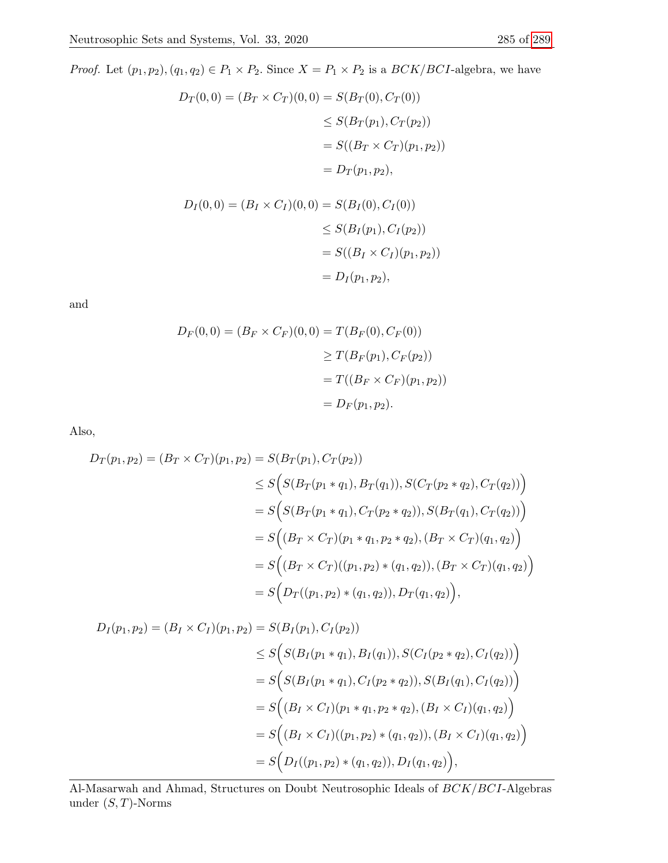*Proof.* Let  $(p_1, p_2), (q_1, q_2) \in P_1 \times P_2$ . Since  $X = P_1 \times P_2$  is a  $BCK/BCI$ -algebra, we have

$$
D_T(0,0) = (B_T \times C_T)(0,0) = S(B_T(0), C_T(0))
$$
  
\n
$$
\leq S(B_T(p_1), C_T(p_2))
$$
  
\n
$$
= S((B_T \times C_T)(p_1, p_2))
$$
  
\n
$$
= D_T(p_1, p_2),
$$

$$
D_I(0,0) = (B_I \times C_I)(0,0) = S(B_I(0), C_I(0))
$$
  
\n
$$
\leq S(B_I(p_1), C_I(p_2))
$$
  
\n
$$
= S((B_I \times C_I)(p_1, p_2))
$$
  
\n
$$
= D_I(p_1, p_2),
$$

and

$$
D_F(0,0) = (B_F \times C_F)(0,0) = T(B_F(0), C_F(0))
$$
  
\n
$$
\geq T(B_F(p_1), C_F(p_2))
$$
  
\n
$$
= T((B_F \times C_F)(p_1, p_2))
$$
  
\n
$$
= D_F(p_1, p_2).
$$

Also,

$$
D_T(p_1, p_2) = (B_T \times C_T)(p_1, p_2) = S(B_T(p_1), C_T(p_2))
$$
  
\n
$$
\leq S\Big(S(B_T(p_1 * q_1), B_T(q_1)), S(C_T(p_2 * q_2), C_T(q_2))\Big)
$$
  
\n
$$
= S\Big(S(B_T(p_1 * q_1), C_T(p_2 * q_2)), S(B_T(q_1), C_T(q_2))\Big)
$$
  
\n
$$
= S\Big((B_T \times C_T)(p_1 * q_1, p_2 * q_2), (B_T \times C_T)(q_1, q_2)\Big)
$$
  
\n
$$
= S\Big((B_T \times C_T)((p_1, p_2) * (q_1, q_2)), (B_T \times C_T)(q_1, q_2)\Big)
$$
  
\n
$$
= S\Big(D_T((p_1, p_2) * (q_1, q_2)), D_T(q_1, q_2)\Big),
$$

$$
D_I(p_1, p_2) = (B_I \times C_I)(p_1, p_2) = S(B_I(p_1), C_I(p_2))
$$
  
\n
$$
\leq S\Big(S(B_I(p_1 * q_1), B_I(q_1)), S(C_I(p_2 * q_2), C_I(q_2))\Big)
$$
  
\n
$$
= S\Big(S(B_I(p_1 * q_1), C_I(p_2 * q_2)), S(B_I(q_1), C_I(q_2))\Big)
$$
  
\n
$$
= S\Big((B_I \times C_I)(p_1 * q_1, p_2 * q_2), (B_I \times C_I)(q_1, q_2)\Big)
$$
  
\n
$$
= S\Big((B_I \times C_I)((p_1, p_2) * (q_1, q_2)), (B_I \times C_I)(q_1, q_2)\Big)
$$
  
\n
$$
= S\Big(D_I((p_1, p_2) * (q_1, q_2)), D_I(q_1, q_2)\Big),
$$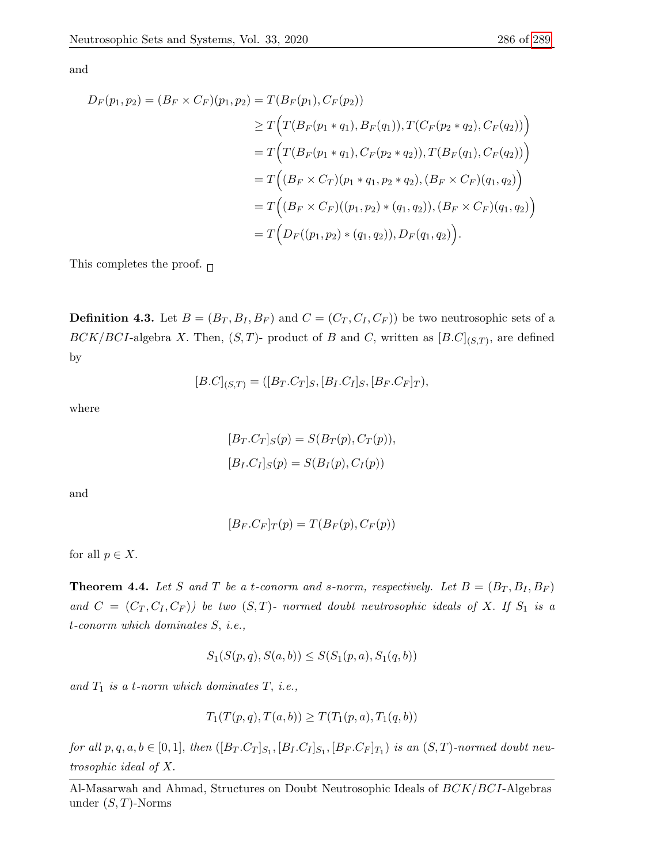and

$$
D_F(p_1, p_2) = (B_F \times C_F)(p_1, p_2) = T(B_F(p_1), C_F(p_2))
$$
  
\n
$$
\geq T\Big( T(B_F(p_1 * q_1), B_F(q_1)), T(C_F(p_2 * q_2), C_F(q_2)) \Big)
$$
  
\n
$$
= T\Big( T(B_F(p_1 * q_1), C_F(p_2 * q_2)), T(B_F(q_1), C_F(q_2)) \Big)
$$
  
\n
$$
= T\Big( (B_F \times C_T)(p_1 * q_1, p_2 * q_2), (B_F \times C_F)(q_1, q_2) \Big)
$$
  
\n
$$
= T\Big( (B_F \times C_F)((p_1, p_2) * (q_1, q_2)), (B_F \times C_F)(q_1, q_2) \Big)
$$
  
\n
$$
= T\Big( D_F((p_1, p_2) * (q_1, q_2)), D_F(q_1, q_2) \Big).
$$

This completes the proof.  $\Box$ 

**Definition 4.3.** Let  $B = (B_T, B_I, B_F)$  and  $C = (C_T, C_I, C_F)$  be two neutrosophic sets of a  $BCK/BCI$ -algebra X. Then,  $(S,T)$ - product of B and C, written as  $[B.C]_{(S,T)}$ , are defined by

$$
[B.C]_{(S,T)} = ([B_T.C_T]_S, [B_I.C_I]_S, [B_F.C_F]_T),
$$

where

$$
[B_T.C_T]_S(p) = S(B_T(p), C_T(p)),
$$
  

$$
[B_I.C_I]_S(p) = S(B_I(p), C_I(p))
$$

and

$$
[B_F.C_F]_T(p) = T(B_F(p), C_F(p))
$$

for all  $p \in X$ .

**Theorem 4.4.** Let S and T be a t-conorm and s-norm, respectively. Let  $B = (B_T, B_I, B_F)$ and  $C = (C_T, C_I, C_F)$  be two  $(S, T)$ - normed doubt neutrosophic ideals of X. If  $S_1$  is a t-conorm which dominates S, i.e.,

$$
S_1(S(p,q), S(a,b)) \leq S(S_1(p,a), S_1(q,b))
$$

and  $T_1$  is a t-norm which dominates  $T$ , i.e.,

$$
T_1(T(p,q), T(a,b)) \geq T(T_1(p,a), T_1(q,b))
$$

for all  $p, q, a, b \in [0, 1]$ , then  $([B_T.C_T]_{S_1}, [B_I.C_I]_{S_1}, [B_F.C_F]_{T_1})$  is an  $(S, T)$ -normed doubt neutrosophic ideal of X.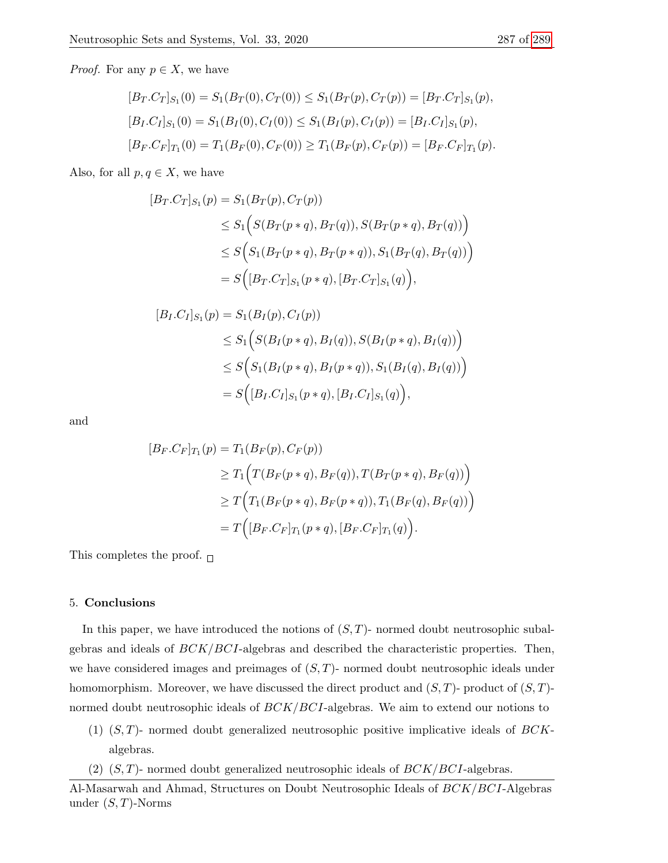$$
[B_T.C_T]_{S_1}(0) = S_1(B_T(0), C_T(0)) \leq S_1(B_T(p), C_T(p)) = [B_T.C_T]_{S_1}(p),
$$
  
\n
$$
[B_I.C_I]_{S_1}(0) = S_1(B_I(0), C_I(0)) \leq S_1(B_I(p), C_I(p)) = [B_I.C_I]_{S_1}(p),
$$
  
\n
$$
[B_F.C_F]_{T_1}(0) = T_1(B_F(0), C_F(0)) \geq T_1(B_F(p), C_F(p)) = [B_F.C_F]_{T_1}(p).
$$

Also, for all  $p, q \in X$ , we have

$$
[B_T.C_T]_{S_1}(p) = S_1(B_T(p), C_T(p))
$$
  
\n
$$
\leq S_1(S(B_T(p * q), B_T(q)), S(B_T(p * q), B_T(q)))
$$
  
\n
$$
\leq S(S_1(B_T(p * q), B_T(p * q)), S_1(B_T(q), B_T(q)))
$$
  
\n
$$
= S([B_T.C_T]_{S_1}(p * q), [B_T.C_T]_{S_1}(q)),
$$

$$
[B_I.C_I]_{S_1}(p) = S_1(B_I(p), C_I(p))
$$
  
\n
$$
\leq S_1(S(B_I(p * q), B_I(q)), S(B_I(p * q), B_I(q)))
$$
  
\n
$$
\leq S(S_1(B_I(p * q), B_I(p * q)), S_1(B_I(q), B_I(q)))
$$
  
\n
$$
= S([B_I.C_I]_{S_1}(p * q), [B_I.C_I]_{S_1}(q)),
$$

and

$$
[B_F.C_F]_{T_1}(p) = T_1(B_F(p), C_F(p))
$$
  
\n
$$
\geq T_1(T(B_F(p * q), B_F(q)), T(B_T(p * q), B_F(q)))
$$
  
\n
$$
\geq T\Big(T_1(B_F(p * q), B_F(p * q)), T_1(B_F(q), B_F(q))\Big)
$$
  
\n
$$
= T\Big([B_F.C_F]_{T_1}(p * q), [B_F.C_F]_{T_1}(q)\Big).
$$

This completes the proof.  $\Box$ 

### <span id="page-12-0"></span>5. Conclusions

In this paper, we have introduced the notions of  $(S, T)$ - normed doubt neutrosophic subalgebras and ideals of  $BCK/BCI$ -algebras and described the characteristic properties. Then, we have considered images and preimages of  $(S, T)$ - normed doubt neutrosophic ideals under homomorphism. Moreover, we have discussed the direct product and  $(S, T)$ - product of  $(S, T)$ normed doubt neutrosophic ideals of  $BCK/BCI$ -algebras. We aim to extend our notions to

- (1)  $(S, T)$  normed doubt generalized neutrosophic positive implicative ideals of BCKalgebras.
- $(2)$   $(S, T)$  normed doubt generalized neutrosophic ideals of  $BCK/BCI$ -algebras.

Al-Masarwah and Ahmad, Structures on Doubt Neutrosophic Ideals of BCK/BCI-Algebras under  $(S, T)$ -Norms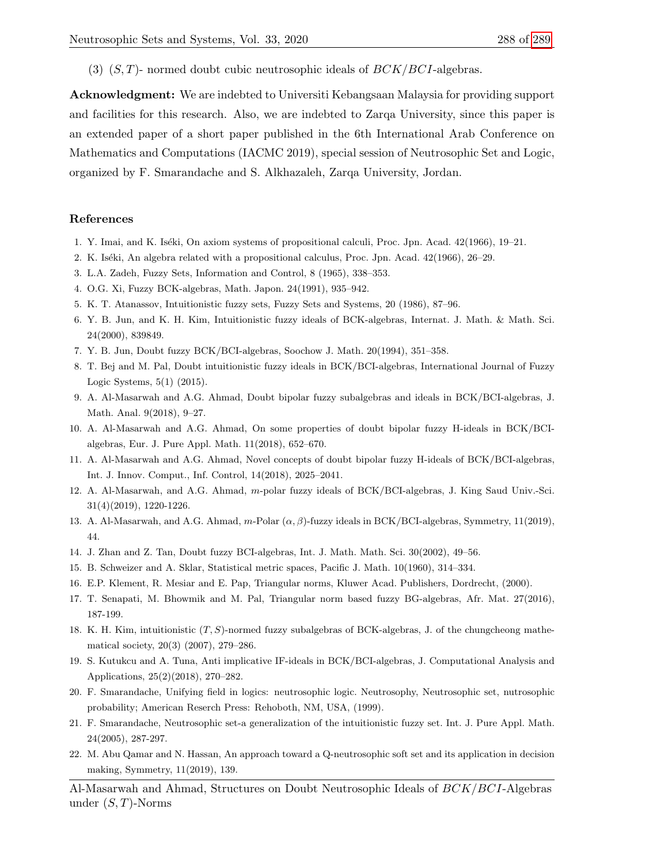(3)  $(S, T)$ - normed doubt cubic neutrosophic ideals of  $BCK/BCI$ -algebras.

Acknowledgment: We are indebted to Universiti Kebangsaan Malaysia for providing support and facilities for this research. Also, we are indebted to Zarqa University, since this paper is an extended paper of a short paper published in the 6th International Arab Conference on Mathematics and Computations (IACMC 2019), special session of Neutrosophic Set and Logic, organized by F. Smarandache and S. Alkhazaleh, Zarqa University, Jordan.

#### References

- <span id="page-13-0"></span>1. Y. Imai, and K. Iséki, On axiom systems of propositional calculi, Proc. Jpn. Acad. 42(1966), 19–21.
- <span id="page-13-1"></span>2. K. Iséki, An algebra related with a propositional calculus, Proc. Jpn. Acad. 42(1966), 26–29.
- <span id="page-13-2"></span>3. L.A. Zadeh, Fuzzy Sets, Information and Control, 8 (1965), 338–353.
- <span id="page-13-3"></span>4. O.G. Xi, Fuzzy BCK-algebras, Math. Japon. 24(1991), 935–942.
- <span id="page-13-4"></span>5. K. T. Atanassov, Intuitionistic fuzzy sets, Fuzzy Sets and Systems, 20 (1986), 87–96.
- <span id="page-13-5"></span>6. Y. B. Jun, and K. H. Kim, Intuitionistic fuzzy ideals of BCK-algebras, Internat. J. Math. & Math. Sci. 24(2000), 839849.
- <span id="page-13-6"></span>7. Y. B. Jun, Doubt fuzzy BCK/BCI-algebras, Soochow J. Math. 20(1994), 351–358.
- <span id="page-13-7"></span>8. T. Bej and M. Pal, Doubt intuitionistic fuzzy ideals in BCK/BCI-algebras, International Journal of Fuzzy Logic Systems, 5(1) (2015).
- <span id="page-13-8"></span>9. A. Al-Masarwah and A.G. Ahmad, Doubt bipolar fuzzy subalgebras and ideals in BCK/BCI-algebras, J. Math. Anal. 9(2018), 9–27.
- <span id="page-13-9"></span>10. A. Al-Masarwah and A.G. Ahmad, On some properties of doubt bipolar fuzzy H-ideals in BCK/BCIalgebras, Eur. J. Pure Appl. Math. 11(2018), 652–670.
- 11. A. Al-Masarwah and A.G. Ahmad, Novel concepts of doubt bipolar fuzzy H-ideals of BCK/BCI-algebras, Int. J. Innov. Comput., Inf. Control, 14(2018), 2025–2041.
- 12. A. Al-Masarwah, and A.G. Ahmad, m-polar fuzzy ideals of BCK/BCI-algebras, J. King Saud Univ.-Sci. 31(4)(2019), 1220-1226.
- 13. A. Al-Masarwah, and A.G. Ahmad, m-Polar  $(\alpha, \beta)$ -fuzzy ideals in BCK/BCI-algebras, Symmetry, 11(2019), 44.
- <span id="page-13-10"></span>14. J. Zhan and Z. Tan, Doubt fuzzy BCI-algebras, Int. J. Math. Math. Sci. 30(2002), 49–56.
- <span id="page-13-11"></span>15. B. Schweizer and A. Sklar, Statistical metric spaces, Pacific J. Math. 10(1960), 314–334.
- <span id="page-13-12"></span>16. E.P. Klement, R. Mesiar and E. Pap, Triangular norms, Kluwer Acad. Publishers, Dordrecht, (2000).
- <span id="page-13-13"></span>17. T. Senapati, M. Bhowmik and M. Pal, Triangular norm based fuzzy BG-algebras, Afr. Mat. 27(2016), 187-199.
- <span id="page-13-14"></span>18. K. H. Kim, intuitionistic  $(T, S)$ -normed fuzzy subalgebras of BCK-algebras, J. of the chungcheong mathematical society, 20(3) (2007), 279–286.
- <span id="page-13-15"></span>19. S. Kutukcu and A. Tuna, Anti implicative IF-ideals in BCK/BCI-algebras, J. Computational Analysis and Applications, 25(2)(2018), 270–282.
- <span id="page-13-16"></span>20. F. Smarandache, Unifying field in logics: neutrosophic logic. Neutrosophy, Neutrosophic set, nutrosophic probability; American Reserch Press: Rehoboth, NM, USA, (1999).
- <span id="page-13-17"></span>21. F. Smarandache, Neutrosophic set-a generalization of the intuitionistic fuzzy set. Int. J. Pure Appl. Math. 24(2005), 287-297.
- <span id="page-13-18"></span>22. M. Abu Qamar and N. Hassan, An approach toward a Q-neutrosophic soft set and its application in decision making, Symmetry, 11(2019), 139.